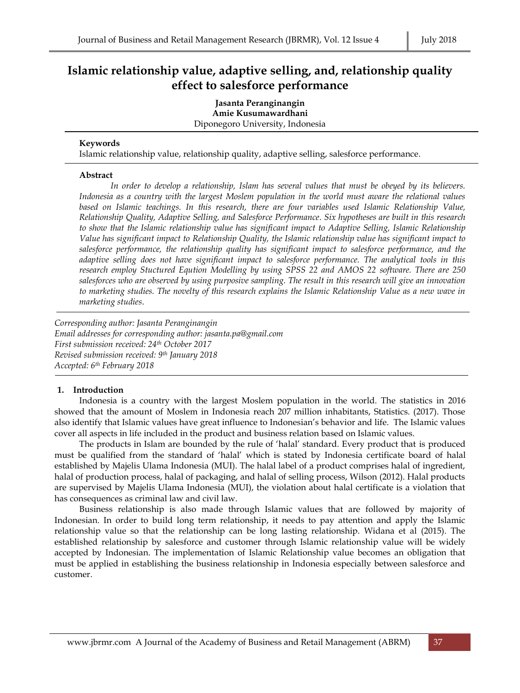# **Islamic relationship value, adaptive selling, and, relationship quality effect to salesforce performance**

**Jasanta Peranginangin Amie Kusumawardhani** Diponegoro University, Indonesia

#### **Keywords**

Islamic relationship value, relationship quality, adaptive selling, salesforce performance.

#### **Abstract**

*In order to develop a relationship, Islam has several values that must be obeyed by its believers. Indonesia as a country with the largest Moslem population in the world must aware the relational values based on Islamic teachings. In this research, there are four variables used Islamic Relationship Value, Relationship Quality, Adaptive Selling, and Salesforce Performance. Six hypotheses are built in this research to show that the Islamic relationship value has significant impact to Adaptive Selling, Islamic Relationship Value has significant impact to Relationship Quality, the Islamic relationship value has significant impact to salesforce performance, the relationship quality has significant impact to salesforce performance, and the adaptive selling does not have significant impact to salesforce performance. The analytical tools in this research employ Stuctured Eqution Modelling by using SPSS 22 and AMOS 22 software. There are 250 salesforces who are observed by using purposive sampling. The result in this research will give an innovation to marketing studies. The novelty of this research explains the Islamic Relationship Value as a new wave in marketing studies*.

*Corresponding author: Jasanta Peranginangin Email addresses for corresponding author: jasanta.pa@gmail.com First submission received: 24th October 2017 Revised submission received: 9 th January 2018 Accepted: 6 th February 2018*

#### **1. Introduction**

Indonesia is a country with the largest Moslem population in the world. The statistics in 2016 showed that the amount of Moslem in Indonesia reach 207 million inhabitants, Statistics. (2017). Those also identify that Islamic values have great influence to Indonesian's behavior and life. The Islamic values cover all aspects in life included in the product and business relation based on Islamic values.

The products in Islam are bounded by the rule of 'halal' standard. Every product that is produced must be qualified from the standard of 'halal' which is stated by Indonesia certificate board of halal established by Majelis Ulama Indonesia (MUI). The halal label of a product comprises halal of ingredient, halal of production process, halal of packaging, and halal of selling process, Wilson (2012). Halal products are supervised by Majelis Ulama Indonesia (MUI), the violation about halal certificate is a violation that has consequences as criminal law and civil law.

Business relationship is also made through Islamic values that are followed by majority of Indonesian. In order to build long term relationship, it needs to pay attention and apply the Islamic relationship value so that the relationship can be long lasting relationship. Widana et al (2015). The established relationship by salesforce and customer through Islamic relationship value will be widely accepted by Indonesian. The implementation of Islamic Relationship value becomes an obligation that must be applied in establishing the business relationship in Indonesia especially between salesforce and customer.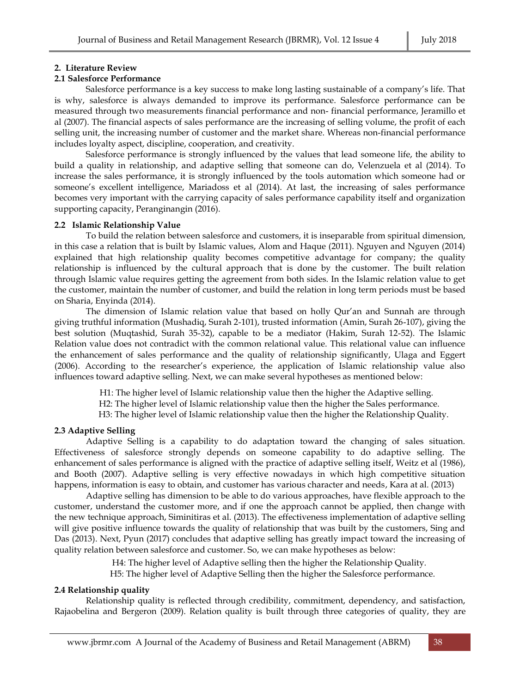#### **2. Literature Review**

### **2.1 Salesforce Performance**

Salesforce performance is a key success to make long lasting sustainable of a company's life. That is why, salesforce is always demanded to improve its performance. Salesforce performance can be measured through two measurements financial performance and non- financial performance, Jeramillo et al (2007). The financial aspects of sales performance are the increasing of selling volume, the profit of each selling unit, the increasing number of customer and the market share. Whereas non-financial performance includes loyalty aspect, discipline, cooperation, and creativity.

Salesforce performance is strongly influenced by the values that lead someone life, the ability to build a quality in relationship, and adaptive selling that someone can do, Velenzuela et al (2014). To increase the sales performance, it is strongly influenced by the tools automation which someone had or someone's excellent intelligence, Mariadoss et al (2014). At last, the increasing of sales performance becomes very important with the carrying capacity of sales performance capability itself and organization supporting capacity, Peranginangin (2016).

#### **2.2 Islamic Relationship Value**

To build the relation between salesforce and customers, it is inseparable from spiritual dimension, in this case a relation that is built by Islamic values, Alom and Haque (2011). Nguyen and Nguyen (2014) explained that high relationship quality becomes competitive advantage for company; the quality relationship is influenced by the cultural approach that is done by the customer. The built relation through Islamic value requires getting the agreement from both sides. In the Islamic relation value to get the customer, maintain the number of customer, and build the relation in long term periods must be based on Sharia, Enyinda (2014).

The dimension of Islamic relation value that based on holly Qur'an and Sunnah are through giving truthful information (Mushadiq, Surah 2-101), trusted information (Amin, Surah 26-107), giving the best solution (Muqtashid, Surah 35-32), capable to be a mediator (Hakim, Surah 12-52). The Islamic Relation value does not contradict with the common relational value. This relational value can influence the enhancement of sales performance and the quality of relationship significantly, Ulaga and Eggert (2006). According to the researcher's experience, the application of Islamic relationship value also influences toward adaptive selling. Next, we can make several hypotheses as mentioned below:

H1: The higher level of Islamic relationship value then the higher the Adaptive selling.

H2: The higher level of Islamic relationship value then the higher the Sales performance.

H3: The higher level of Islamic relationship value then the higher the Relationship Quality.

### **2.3 Adaptive Selling**

Adaptive Selling is a capability to do adaptation toward the changing of sales situation. Effectiveness of salesforce strongly depends on someone capability to do adaptive selling. The enhancement of sales performance is aligned with the practice of adaptive selling itself, Weitz et al (1986), and Booth (2007). Adaptive selling is very effective nowadays in which high competitive situation happens, information is easy to obtain, and customer has various character and needs, Kara at al. (2013)

Adaptive selling has dimension to be able to do various approaches, have flexible approach to the customer, understand the customer more, and if one the approach cannot be applied, then change with the new technique approach, Siminitiras et al. (2013). The effectiveness implementation of adaptive selling will give positive influence towards the quality of relationship that was built by the customers, Sing and Das (2013). Next, Pyun (2017) concludes that adaptive selling has greatly impact toward the increasing of quality relation between salesforce and customer. So, we can make hypotheses as below:

H4: The higher level of Adaptive selling then the higher the Relationship Quality.

H5: The higher level of Adaptive Selling then the higher the Salesforce performance.

### **2.4 Relationship quality**

Relationship quality is reflected through credibility, commitment, dependency, and satisfaction, Rajaobelina and Bergeron (2009). Relation quality is built through three categories of quality, they are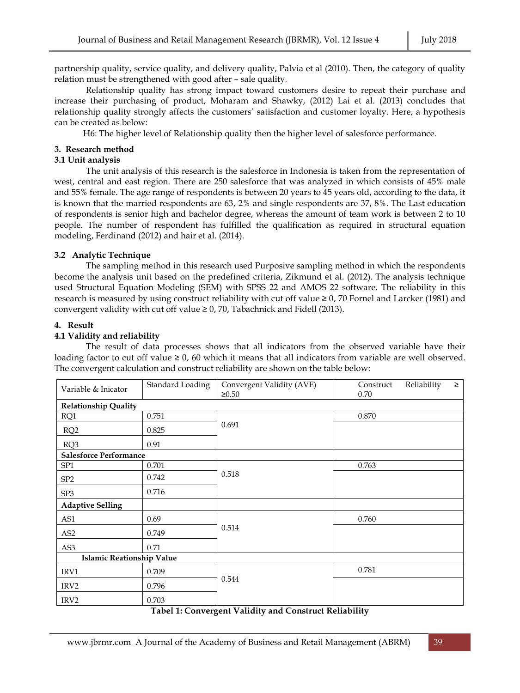partnership quality, service quality, and delivery quality, Palvia et al (2010). Then, the category of quality relation must be strengthened with good after – sale quality.

Relationship quality has strong impact toward customers desire to repeat their purchase and increase their purchasing of product, Moharam and Shawky, (2012) Lai et al. (2013) concludes that relationship quality strongly affects the customers' satisfaction and customer loyalty. Here, a hypothesis can be created as below:

H6: The higher level of Relationship quality then the higher level of salesforce performance.

### **3. Research method**

### **3.1 Unit analysis**

The unit analysis of this research is the salesforce in Indonesia is taken from the representation of west, central and east region. There are 250 salesforce that was analyzed in which consists of 45% male and 55% female. The age range of respondents is between 20 years to 45 years old, according to the data, it is known that the married respondents are 63, 2% and single respondents are 37, 8%. The Last education of respondents is senior high and bachelor degree, whereas the amount of team work is between 2 to 10 people. The number of respondent has fulfilled the qualification as required in structural equation modeling, Ferdinand (2012) and hair et al. (2014).

# **3.2 Analytic Technique**

The sampling method in this research used Purposive sampling method in which the respondents become the analysis unit based on the predefined criteria, Zikmund et al. (2012). The analysis technique used Structural Equation Modeling (SEM) with SPSS 22 and AMOS 22 software. The reliability in this research is measured by using construct reliability with cut off value ≥ 0, 70 Fornel and Larcker (1981) and convergent validity with cut off value  $\geq 0$ , 70, Tabachnick and Fidell (2013).

# **4. Result**

# **4.1 Validity and reliability**

The result of data processes shows that all indicators from the observed variable have their loading factor to cut off value  $\geq 0$ , 60 which it means that all indicators from variable are well observed. The convergent calculation and construct reliability are shown on the table below:

| Variable & Inicator              | Standard Loading | Convergent Validity (AVE)<br>$\geq 0.50$ | Construct<br>0.70 | Reliability | $\geq$ |  |  |
|----------------------------------|------------------|------------------------------------------|-------------------|-------------|--------|--|--|
| <b>Relationship Quality</b>      |                  |                                          |                   |             |        |  |  |
| RQ1                              | 0.751            | 0.691                                    | 0.870             |             |        |  |  |
| RQ <sub>2</sub>                  | 0.825            |                                          |                   |             |        |  |  |
| RQ3                              | 0.91             |                                          |                   |             |        |  |  |
| <b>Salesforce Performance</b>    |                  |                                          |                   |             |        |  |  |
| SP <sub>1</sub>                  | 0.701            |                                          | 0.763             |             |        |  |  |
| SP <sub>2</sub>                  | 0.742            | 0.518                                    |                   |             |        |  |  |
| SP <sub>3</sub>                  | 0.716            |                                          |                   |             |        |  |  |
| <b>Adaptive Selling</b>          |                  |                                          |                   |             |        |  |  |
| AS1                              | 0.69             | 0.514                                    | 0.760             |             |        |  |  |
| AS <sub>2</sub>                  | 0.749            |                                          |                   |             |        |  |  |
| AS3                              | 0.71             |                                          |                   |             |        |  |  |
| <b>Islamic Reationship Value</b> |                  |                                          |                   |             |        |  |  |
| IRV1                             | 0.709            | 0.544                                    | 0.781             |             |        |  |  |
| IRV <sub>2</sub>                 | 0.796            |                                          |                   |             |        |  |  |
| IRV <sub>2</sub>                 | 0.703            |                                          |                   |             |        |  |  |

### **Tabel 1: Convergent Validity and Construct Reliability**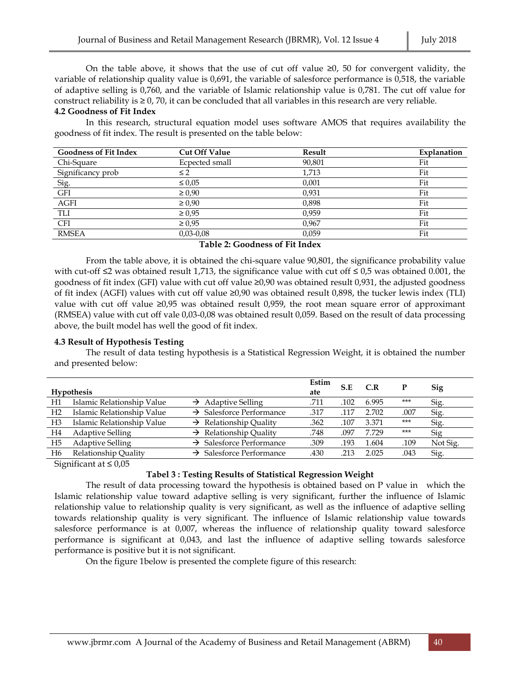On the table above, it shows that the use of cut off value  $\geq 0$ , 50 for convergent validity, the variable of relationship quality value is 0,691, the variable of salesforce performance is 0,518, the variable of adaptive selling is 0,760, and the variable of Islamic relationship value is 0,781. The cut off value for construct reliability is  $\geq 0$ , 70, it can be concluded that all variables in this research are very reliable.

#### **4.2 Goodness of Fit Index**

In this research, structural equation model uses software AMOS that requires availability the goodness of fit index. The result is presented on the table below:

| <b>Goodness of Fit Index</b> | <b>Cut Off Value</b> | Result | Explanation |
|------------------------------|----------------------|--------|-------------|
| Chi-Square                   | Ecpected small       | 90,801 | Fit         |
| Significancy prob            | $\leq$ 2             | 1,713  | Fit         |
| Sig.                         | $\leq 0.05$          | 0,001  | Fit         |
| $\operatorname{GFI}$         | $\geq 0.90$          | 0,931  | Fit         |
| <b>AGFI</b>                  | $\geq 0.90$          | 0,898  | Fit         |
| TLI                          | $\ge 0.95$           | 0.959  | Fit         |
| <b>CFI</b>                   | $\geq 0.95$          | 0.967  | Fit         |
| <b>RMSEA</b>                 | $0,03 - 0,08$        | 0.059  | Fit         |

**Table 2: Goodness of Fit Index**

From the table above, it is obtained the chi-square value 90,801, the significance probability value with cut-off ≤2 was obtained result 1,713, the significance value with cut off ≤ 0,5 was obtained 0.001, the goodness of fit index (GFI) value with cut off value ≥0,90 was obtained result 0,931, the adjusted goodness of fit index (AGFI) values with cut off value ≥0,90 was obtained result 0,898, the tucker lewis index (TLI) value with cut off value  $\geq 0.95$  was obtained result 0.959, the root mean square error of approximant (RMSEA) value with cut off vale 0,03-0,08 was obtained result 0,059. Based on the result of data processing above, the built model has well the good of fit index.

### **4.3 Result of Hypothesis Testing**

The result of data testing hypothesis is a Statistical Regression Weight, it is obtained the number and presented below:

|                | <b>Hypothesis</b>          |                                      | Estim<br>ate | S.E  | C.R   |       | <b>Sig</b> |
|----------------|----------------------------|--------------------------------------|--------------|------|-------|-------|------------|
| H1             | Islamic Relationship Value | $\rightarrow$ Adaptive Selling       | .711         | .102 | 6.995 | $***$ | Sig.       |
| H <sub>2</sub> | Islamic Relationship Value | $\rightarrow$ Salesforce Performance | .317         | .117 | 2.702 | .007  | Sig.       |
| H3             | Islamic Relationship Value | $\rightarrow$ Relationship Quality   | .362         | .107 | 3.371 | $***$ | Sig.       |
| H4             | <b>Adaptive Selling</b>    | $\rightarrow$ Relationship Quality   | .748         | .097 | 7.729 | $***$ | Sig        |
| H5             | <b>Adaptive Selling</b>    | $\rightarrow$ Salesforce Performance | .309         | .193 | 1.604 | .109  | Not Sig.   |
| H6             | Relationship Quality       | $\rightarrow$ Salesforce Performance | .430         | .213 | 2.025 | .043  | Sig.       |
|                |                            |                                      |              |      |       |       |            |

Significant at  $\leq 0.05$ 

### **Tabel 3 : Testing Results of Statistical Regression Weight**

The result of data processing toward the hypothesis is obtained based on P value in which the Islamic relationship value toward adaptive selling is very significant, further the influence of Islamic relationship value to relationship quality is very significant, as well as the influence of adaptive selling towards relationship quality is very significant. The influence of Islamic relationship value towards salesforce performance is at 0,007, whereas the influence of relationship quality toward salesforce performance is significant at 0,043, and last the influence of adaptive selling towards salesforce performance is positive but it is not significant.

On the figure 1below is presented the complete figure of this research: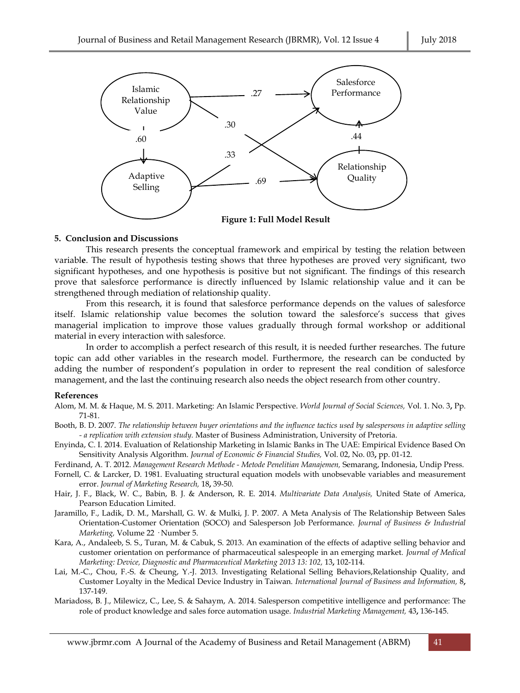

#### **5. Conclusion and Discussions**

This research presents the conceptual framework and empirical by testing the relation between variabl**e**. The result of hypothesis testing shows that three hypotheses are proved very significant, two significant hypotheses, and one hypothesis is positive but not significant. The findings of this research prove that salesforce performance is directly influenced by Islamic relationship value and it can be strengthened through mediation of relationship quality.

From this research, it is found that salesforce performance depends on the values of salesforce itself. Islamic relationship value becomes the solution toward the salesforce's success that gives managerial implication to improve those values gradually through formal workshop or additional material in every interaction with salesforce.

In order to accomplish a perfect research of this result, it is needed further researches. The future topic can add other variables in the research model. Furthermore, the research can be conducted by adding the number of respondent's population in order to represent the real condition of salesforce management, and the last the continuing research also needs the object research from other country.

#### **References**

- Alom, M. M. & Haque, M. S. 2011. Marketing: An Islamic Perspective. *World Journal of Social Sciences,* Vol. 1. No. 3**,** Pp. 71-81.
- Booth, B. D. 2007. *The relationship between buyer orientations and the influence tactics used by salespersons in adaptive selling - a replication with extension study.* Master of Business Administration, University of Pretoria.
- Enyinda, C. I. 2014. Evaluation of Relationship Marketing in Islamic Banks in The UAE: Empirical Evidence Based On Sensitivity Analysis Algorithm. *Journal of Economic & Financial Studies,* Vol. 02, No. 03**,** pp. 01-12.

Ferdinand, A. T. 2012. *Management Research Methode - Metode Penelitian Manajemen,* Semarang, Indonesia, Undip Press.

- Fornell, C. & Larcker, D. 1981. Evaluating structural equation models with unobsevable variables and measurement error. *Journal of Marketing Research,* 18**,** 39-50.
- Hair, J. F., Black, W. C., Babin, B. J. & Anderson, R. E. 2014. *Multivariate Data Analysis,* United State of America, Pearson Education Limited.
- Jaramillo, F., Ladik, D. M., Marshall, G. W. & Mulki, J. P. 2007. A Meta Analysis of The Relationship Between Sales Orientation-Customer Orientation (SOCO) and Salesperson Job Performance. *Journal of Business & Industrial Marketing,* Volume 22 · Number 5.
- Kara, A., Andaleeb, S. S., Turan, M. & Cabuk, S. 2013. An examination of the effects of adaptive selling behavior and customer orientation on performance of pharmaceutical salespeople in an emerging market. *Journal of Medical Marketing: Device, Diagnostic and Pharmaceutical Marketing 2013 13: 102,* 13**,** 102-114.
- Lai, M.-C., Chou, F.-S. & Cheung, Y.-J. 2013. Investigating Relational Selling Behaviors,Relationship Quality, and Customer Loyalty in the Medical Device Industry in Taiwan. *International Journal of Business and Information,* 8**,** 137-149.
- Mariadoss, B. J., Milewicz, C., Lee, S. & Sahaym, A. 2014. Salesperson competitive intelligence and performance: The role of product knowledge and sales force automation usage. *Industrial Marketing Management,* 43**,** 136-145.